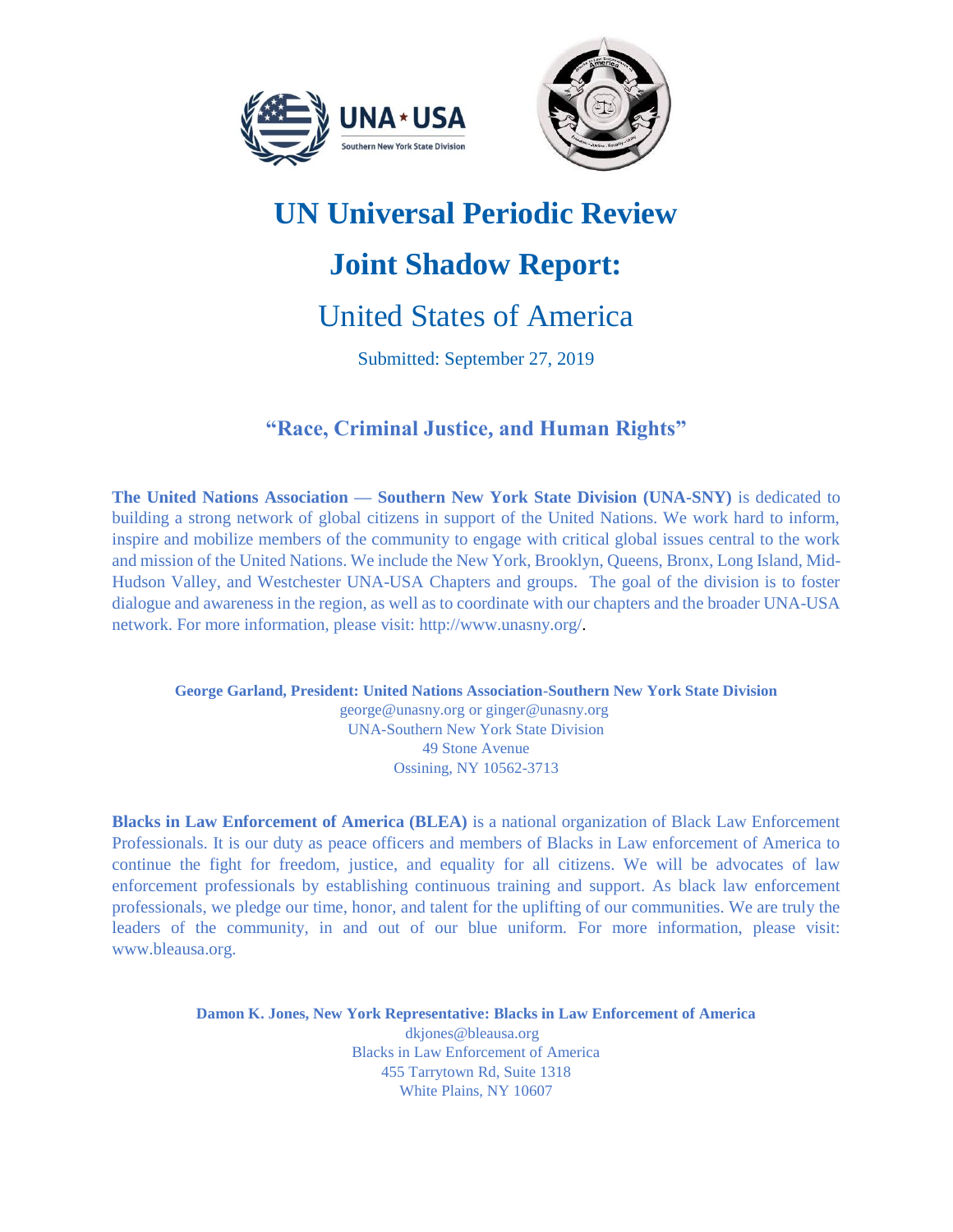



# **UN Universal Periodic Review**

# **Joint Shadow Report:**

# United States of America

Submitted: September 27, 2019

# **"Race, Criminal Justice, and Human Rights"**

**The United Nations Association — Southern New York State Division (UNA-SNY)** is dedicated to building a strong network of global citizens in support of the United Nations. We work hard to inform, inspire and mobilize members of the community to engage with critical global issues central to the work and mission of the United Nations. We include the New York, Brooklyn, Queens, Bronx, Long Island, Mid-Hudson Valley, and Westchester UNA-USA Chapters and groups. The goal of the division is to foster dialogue and awareness in the region, as well as to coordinate with our chapters and the broader UNA-USA network. For more information, please visit: http://www.unasny.org/.

**George Garland, President: United Nations Association-Southern New York State Division** [george@unasny.org](mailto:george@unasny.org) or [ginger@unasny.org](mailto:ginger@unasny.org) UNA-Southern New York State Division 49 Stone Avenue Ossining, NY 10562-3713

**Blacks in Law Enforcement of America (BLEA)** is a national organization of Black Law Enforcement Professionals. It is our duty as peace officers and members of Blacks in Law enforcement of America to continue the fight for freedom, justice, and equality for all citizens. We will be advocates of law enforcement professionals by establishing continuous training and support. As black law enforcement professionals, we pledge our time, honor, and talent for the uplifting of our communities. We are truly the leaders of the community, in and out of our blue uniform. For more information, please visit: [www.bleausa.org.](http://www.bleausa.org/)

> **Damon K. Jones, New York Representative: Blacks in Law Enforcement of America** [dkjones@bleausa.org](mailto:dkjones@bleausa.org)  Blacks in Law Enforcement of America 455 Tarrytown Rd, Suite 1318 White Plains, NY 10607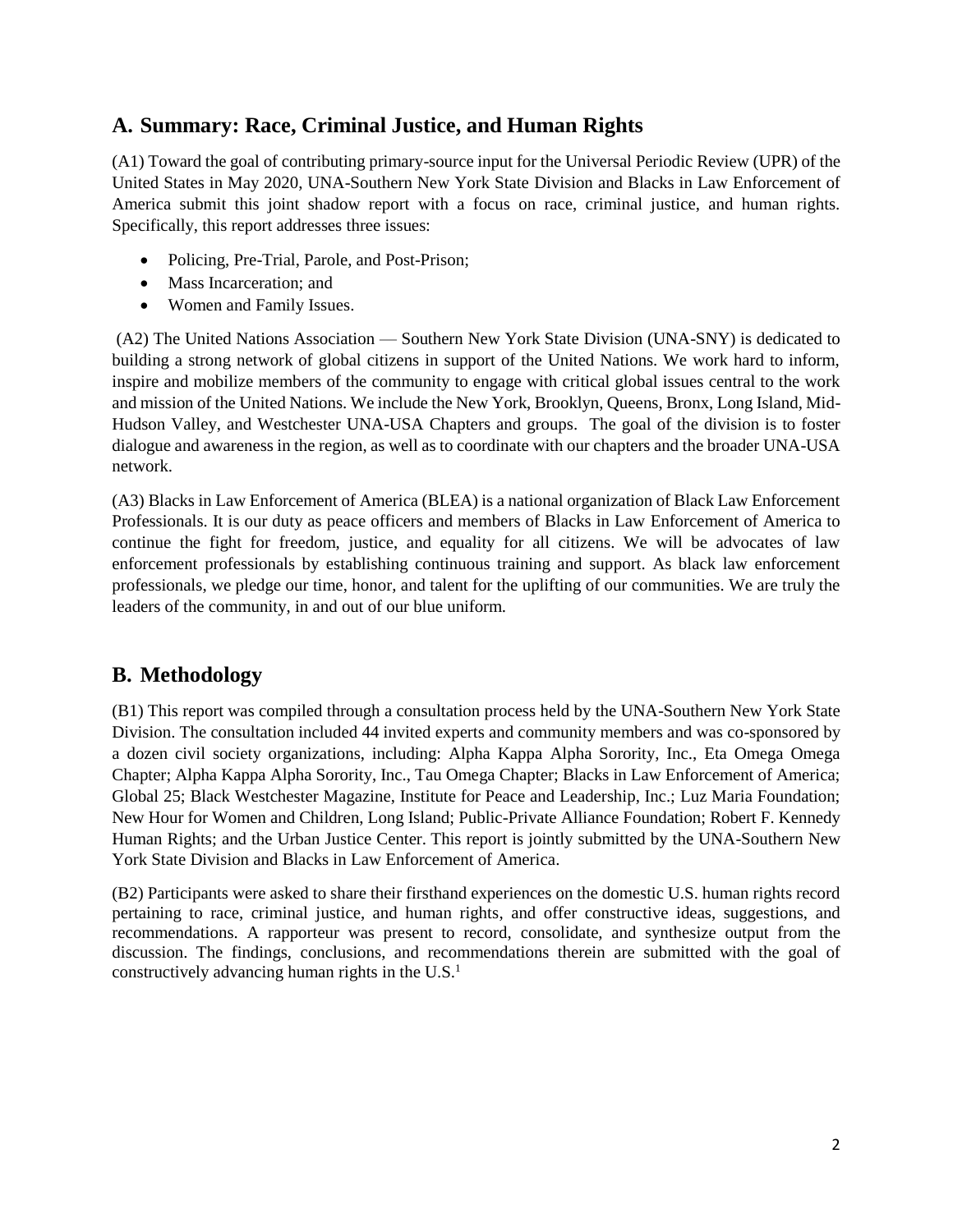### **A. Summary: Race, Criminal Justice, and Human Rights**

(A1) Toward the goal of contributing primary-source input for the Universal Periodic Review (UPR) of the United States in May 2020, UNA-Southern New York State Division and Blacks in Law Enforcement of America submit this joint shadow report with a focus on race, criminal justice, and human rights. Specifically, this report addresses three issues:

- Policing, Pre-Trial, Parole, and Post-Prison;
- Mass Incarceration; and
- Women and Family Issues.

(A2) The United Nations Association — Southern New York State Division (UNA-SNY) is dedicated to building a strong network of global citizens in support of the United Nations. We work hard to inform, inspire and mobilize members of the community to engage with critical global issues central to the work and mission of the United Nations. We include the New York, Brooklyn, Queens, Bronx, Long Island, Mid-Hudson Valley, and Westchester UNA-USA Chapters and groups. The goal of the division is to foster dialogue and awareness in the region, as well as to coordinate with our chapters and the broader UNA-USA network.

(A3) Blacks in Law Enforcement of America (BLEA) is a national organization of Black Law Enforcement Professionals. It is our duty as peace officers and members of Blacks in Law Enforcement of America to continue the fight for freedom, justice, and equality for all citizens. We will be advocates of law enforcement professionals by establishing continuous training and support. As black law enforcement professionals, we pledge our time, honor, and talent for the uplifting of our communities. We are truly the leaders of the community, in and out of our blue uniform.

## **B. Methodology**

(B1) This report was compiled through a consultation process held by the UNA-Southern New York State Division. The consultation included 44 invited experts and community members and was co-sponsored by a dozen civil society organizations, including: Alpha Kappa Alpha Sorority, Inc., Eta Omega Omega Chapter; Alpha Kappa Alpha Sorority, Inc., Tau Omega Chapter; Blacks in Law Enforcement of America; Global 25; Black Westchester Magazine, Institute for Peace and Leadership, Inc.; Luz Maria Foundation; New Hour for Women and Children, Long Island; Public-Private Alliance Foundation; Robert F. Kennedy Human Rights; and the Urban Justice Center. This report is jointly submitted by the UNA-Southern New York State Division and Blacks in Law Enforcement of America.

(B2) Participants were asked to share their firsthand experiences on the domestic U.S. human rights record pertaining to race, criminal justice, and human rights, and offer constructive ideas, suggestions, and recommendations. A rapporteur was present to record, consolidate, and synthesize output from the discussion. The findings, conclusions, and recommendations therein are submitted with the goal of constructively advancing human rights in the  $U.S.<sup>1</sup>$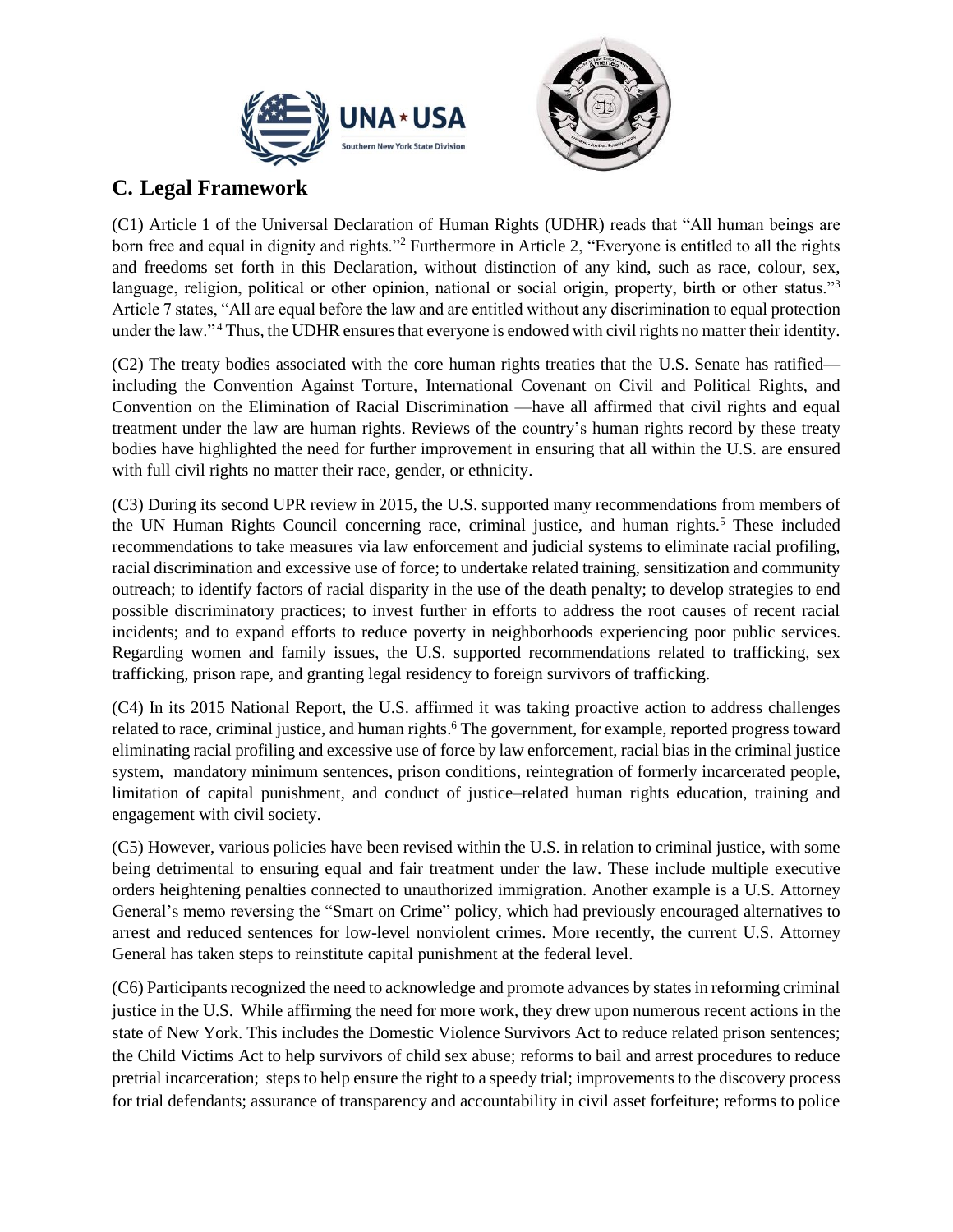



# **C. Legal Framework**

(C1) Article 1 of the Universal Declaration of Human Rights (UDHR) reads that "All human beings are born free and equal in dignity and rights."<sup>2</sup> Furthermore in Article 2, "Everyone is entitled to all the rights and freedoms set forth in this Declaration, without distinction of any kind, such as race, colour, sex, language, religion, political or other opinion, national or social origin, property, birth or other status."<sup>3</sup> Article 7 states, "All are equal before the law and are entitled without any discrimination to equal protection under the law." <sup>4</sup> Thus, the UDHR ensures that everyone is endowed with civil rights no matter their identity.

(C2) The treaty bodies associated with the core human rights treaties that the U.S. Senate has ratified including the Convention Against Torture, International Covenant on Civil and Political Rights, and Convention on the Elimination of Racial Discrimination —have all affirmed that civil rights and equal treatment under the law are human rights. Reviews of the country's human rights record by these treaty bodies have highlighted the need for further improvement in ensuring that all within the U.S. are ensured with full civil rights no matter their race, gender, or ethnicity.

(C3) During its second UPR review in 2015, the U.S. supported many recommendations from members of the UN Human Rights Council concerning race, criminal justice, and human rights.<sup>5</sup> These included recommendations to take measures via law enforcement and judicial systems to eliminate racial profiling, racial discrimination and excessive use of force; to undertake related training, sensitization and community outreach; to identify factors of racial disparity in the use of the death penalty; to develop strategies to end possible discriminatory practices; to invest further in efforts to address the root causes of recent racial incidents; and to expand efforts to reduce poverty in neighborhoods experiencing poor public services. Regarding women and family issues, the U.S. supported recommendations related to trafficking, sex trafficking, prison rape, and granting legal residency to foreign survivors of trafficking.

(C4) In its 2015 National Report, the U.S. affirmed it was taking proactive action to address challenges related to race, criminal justice, and human rights.<sup>6</sup> The government, for example, reported progress toward eliminating racial profiling and excessive use of force by law enforcement, racial bias in the criminal justice system, mandatory minimum sentences, prison conditions, reintegration of formerly incarcerated people, limitation of capital punishment, and conduct of justice–related human rights education, training and engagement with civil society.

(C5) However, various policies have been revised within the U.S. in relation to criminal justice, with some being detrimental to ensuring equal and fair treatment under the law. These include multiple executive orders heightening penalties connected to unauthorized immigration. Another example is a U.S. Attorney General's memo reversing the "Smart on Crime" policy, which had previously encouraged alternatives to arrest and reduced sentences for low-level nonviolent crimes. More recently, the current U.S. Attorney General has taken steps to reinstitute capital punishment at the federal level.

(C6) Participants recognized the need to acknowledge and promote advances by states in reforming criminal justice in the U.S. While affirming the need for more work, they drew upon numerous recent actions in the state of New York. This includes the Domestic Violence Survivors Act to reduce related prison sentences; the Child Victims Act to help survivors of child sex abuse; reforms to bail and arrest procedures to reduce pretrial incarceration; steps to help ensure the right to a speedy trial; improvements to the discovery process for trial defendants; assurance of transparency and accountability in civil asset forfeiture; reforms to police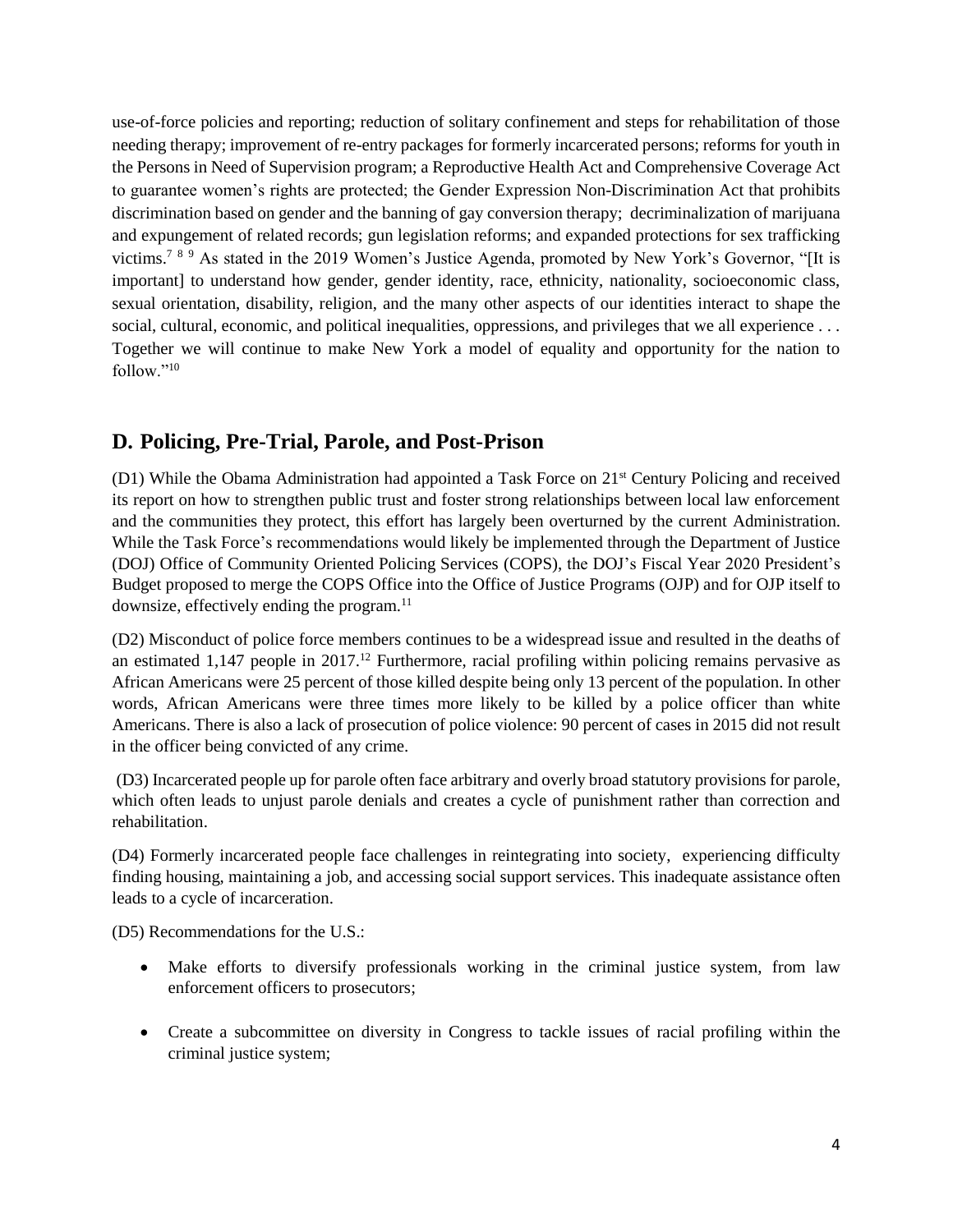use-of-force policies and reporting; reduction of solitary confinement and steps for rehabilitation of those needing therapy; improvement of re-entry packages for formerly incarcerated persons; reforms for youth in the Persons in Need of Supervision program; a Reproductive Health Act and Comprehensive Coverage Act to guarantee women's rights are protected; the Gender Expression Non-Discrimination Act that prohibits discrimination based on gender and the banning of gay conversion therapy; decriminalization of marijuana and expungement of related records; gun legislation reforms; and expanded protections for sex trafficking victims.<sup>789</sup> As stated in the 2019 Women's Justice Agenda, promoted by New York's Governor, "[It is important] to understand how gender, gender identity, race, ethnicity, nationality, socioeconomic class, sexual orientation, disability, religion, and the many other aspects of our identities interact to shape the social, cultural, economic, and political inequalities, oppressions, and privileges that we all experience . . . Together we will continue to make New York a model of equality and opportunity for the nation to follow."<sup>10</sup>

### **D. Policing, Pre-Trial, Parole, and Post-Prison**

(D1) While the Obama Administration had appointed a Task Force on 21<sup>st</sup> Century Policing and received its report on how to strengthen public trust and foster strong relationships between local law enforcement and the communities they protect, this effort has largely been overturned by the current Administration. While the Task Force's recommendations would likely be implemented through the Department of Justice (DOJ) Office of Community Oriented Policing Services (COPS), the DOJ's Fiscal Year 2020 President's Budget proposed to merge the COPS Office into the Office of Justice Programs (OJP) and for OJP itself to downsize, effectively ending the program.<sup>11</sup>

(D2) Misconduct of police force members continues to be a widespread issue and resulted in the deaths of an estimated 1,147 people in  $2017<sup>12</sup>$  Furthermore, racial profiling within policing remains pervasive as African Americans were 25 percent of those killed despite being only 13 percent of the population. In other words, African Americans were three times more likely to be killed by a police officer than white Americans. There is also a lack of prosecution of police violence: 90 percent of cases in 2015 did not result in the officer being convicted of any crime.

(D3) Incarcerated people up for parole often face arbitrary and overly broad statutory provisions for parole, which often leads to unjust parole denials and creates a cycle of punishment rather than correction and rehabilitation.

(D4) Formerly incarcerated people face challenges in reintegrating into society, experiencing difficulty finding housing, maintaining a job, and accessing social support services. This inadequate assistance often leads to a cycle of incarceration.

(D5) Recommendations for the U.S.:

- Make efforts to diversify professionals working in the criminal justice system, from law enforcement officers to prosecutors;
- Create a subcommittee on diversity in Congress to tackle issues of racial profiling within the criminal justice system;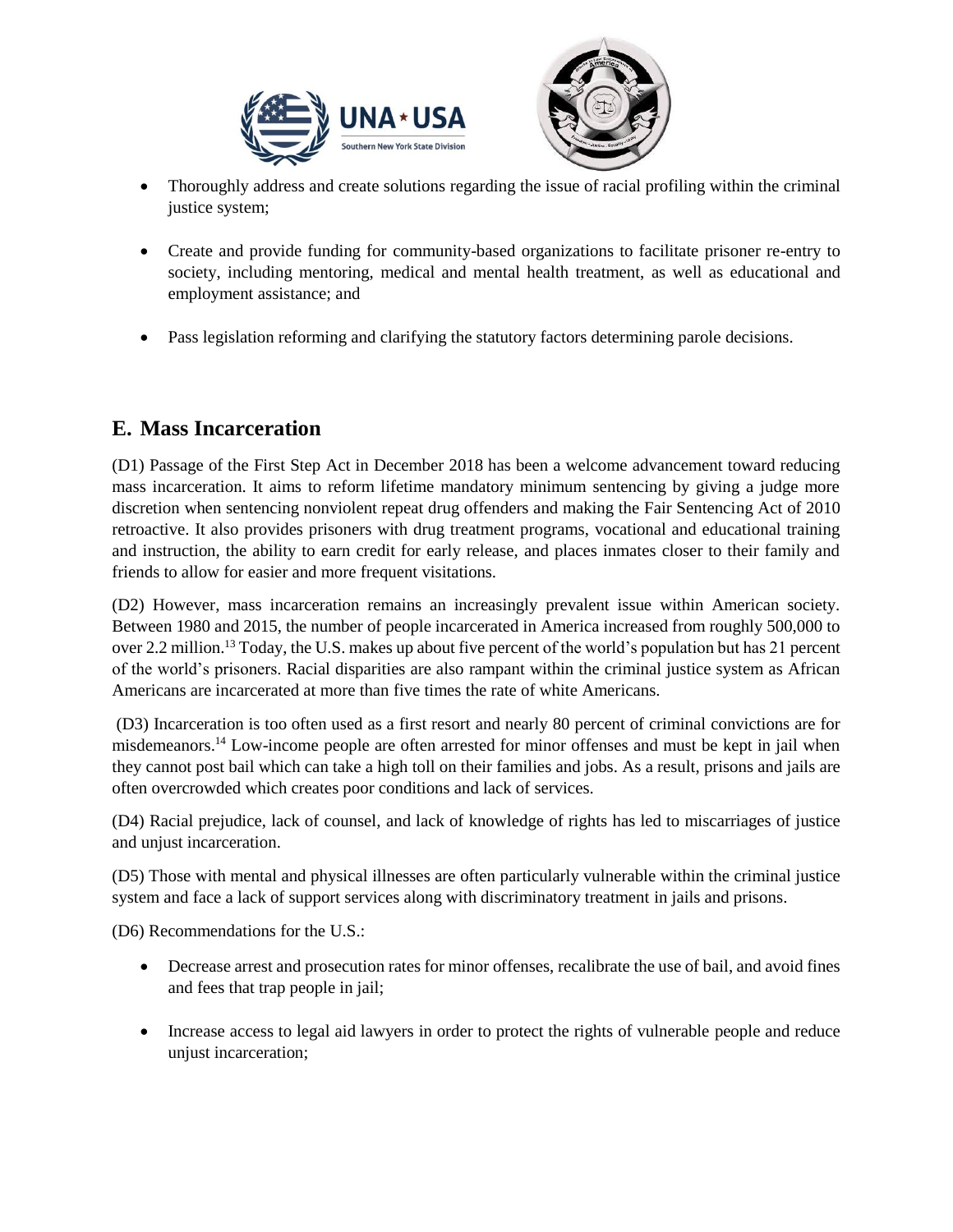

- Thoroughly address and create solutions regarding the issue of racial profiling within the criminal justice system;
- Create and provide funding for community-based organizations to facilitate prisoner re-entry to society, including mentoring, medical and mental health treatment, as well as educational and employment assistance; and
- Pass legislation reforming and clarifying the statutory factors determining parole decisions.

#### **E. Mass Incarceration**

(D1) Passage of the First Step Act in December 2018 has been a welcome advancement toward reducing mass incarceration. It aims to reform lifetime mandatory minimum sentencing by giving a judge more discretion when sentencing nonviolent repeat drug offenders and making the Fair Sentencing Act of 2010 retroactive. It also provides prisoners with drug treatment programs, vocational and educational training and instruction, the ability to earn credit for early release, and places inmates closer to their family and friends to allow for easier and more frequent visitations.

(D2) However, mass incarceration remains an increasingly prevalent issue within American society. Between 1980 and 2015, the number of people incarcerated in America increased from roughly 500,000 to over 2.2 million.<sup>13</sup> Today, the U.S. makes up about five percent of the world's population but has 21 percent of the world's prisoners. Racial disparities are also rampant within the criminal justice system as African Americans are incarcerated at more than five times the rate of white Americans.

(D3) Incarceration is too often used as a first resort and nearly 80 percent of criminal convictions are for misdemeanors.<sup>14</sup> Low-income people are often arrested for minor offenses and must be kept in jail when they cannot post bail which can take a high toll on their families and jobs. As a result, prisons and jails are often overcrowded which creates poor conditions and lack of services.

(D4) Racial prejudice, lack of counsel, and lack of knowledge of rights has led to miscarriages of justice and unjust incarceration.

(D5) Those with mental and physical illnesses are often particularly vulnerable within the criminal justice system and face a lack of support services along with discriminatory treatment in jails and prisons.

(D6) Recommendations for the U.S.:

- Decrease arrest and prosecution rates for minor offenses, recalibrate the use of bail, and avoid fines and fees that trap people in jail;
- Increase access to legal aid lawyers in order to protect the rights of vulnerable people and reduce unjust incarceration;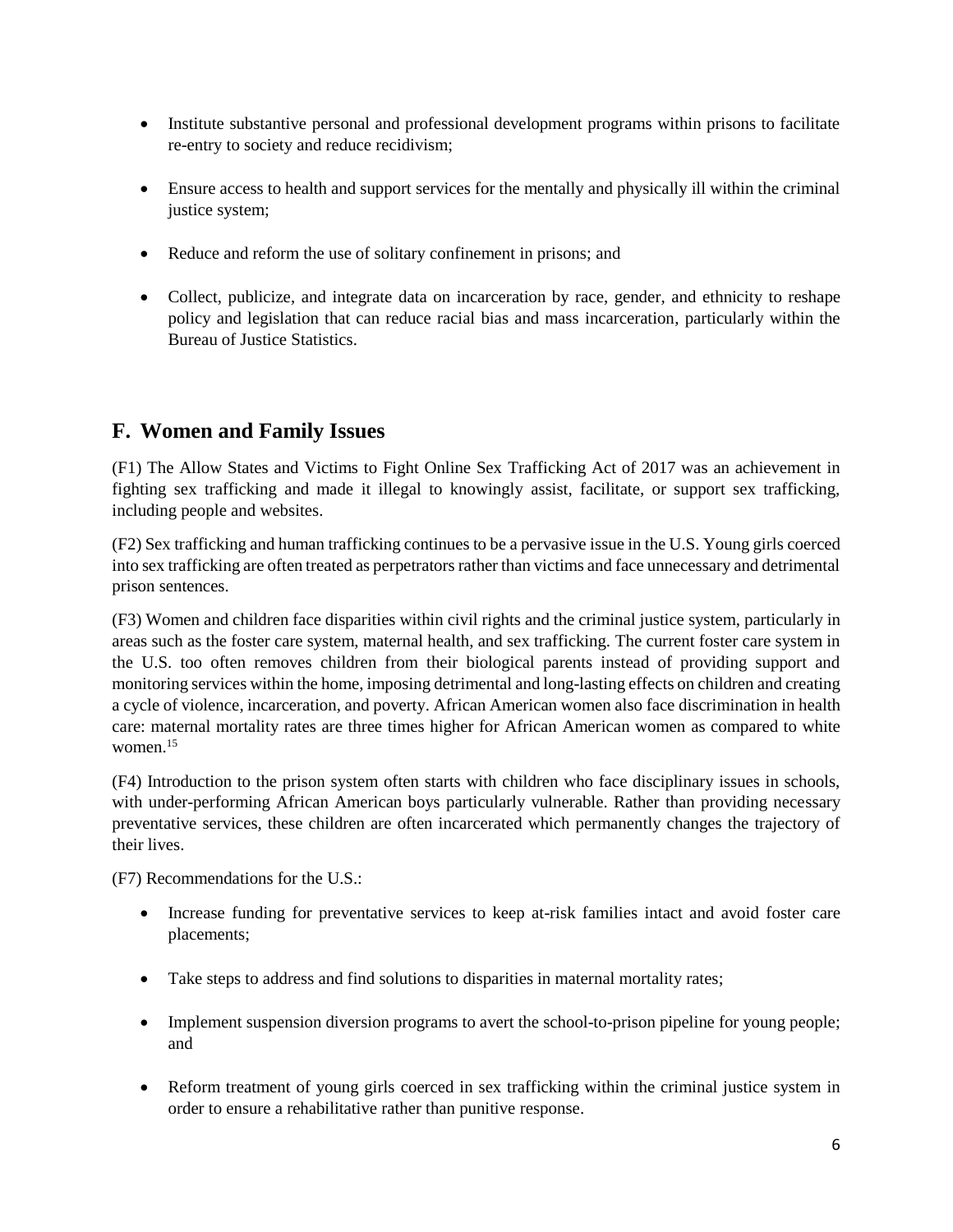- Institute substantive personal and professional development programs within prisons to facilitate re-entry to society and reduce recidivism;
- Ensure access to health and support services for the mentally and physically ill within the criminal justice system;
- Reduce and reform the use of solitary confinement in prisons; and
- Collect, publicize, and integrate data on incarceration by race, gender, and ethnicity to reshape policy and legislation that can reduce racial bias and mass incarceration, particularly within the Bureau of Justice Statistics.

### **F. Women and Family Issues**

(F1) The Allow States and Victims to Fight Online Sex Trafficking Act of 2017 was an achievement in fighting sex trafficking and made it illegal to knowingly assist, facilitate, or support sex trafficking, including people and websites.

(F2) Sex trafficking and human trafficking continues to be a pervasive issue in the U.S. Young girls coerced into sex trafficking are often treated as perpetrators rather than victims and face unnecessary and detrimental prison sentences.

(F3) Women and children face disparities within civil rights and the criminal justice system, particularly in areas such as the foster care system, maternal health, and sex trafficking. The current foster care system in the U.S. too often removes children from their biological parents instead of providing support and monitoring services within the home, imposing detrimental and long-lasting effects on children and creating a cycle of violence, incarceration, and poverty. African American women also face discrimination in health care: maternal mortality rates are three times higher for African American women as compared to white women.<sup>15</sup>

(F4) Introduction to the prison system often starts with children who face disciplinary issues in schools, with under-performing African American boys particularly vulnerable. Rather than providing necessary preventative services, these children are often incarcerated which permanently changes the trajectory of their lives.

(F7) Recommendations for the U.S.:

- Increase funding for preventative services to keep at-risk families intact and avoid foster care placements;
- Take steps to address and find solutions to disparities in maternal mortality rates;
- Implement suspension diversion programs to avert the school-to-prison pipeline for young people; and
- Reform treatment of young girls coerced in sex trafficking within the criminal justice system in order to ensure a rehabilitative rather than punitive response.